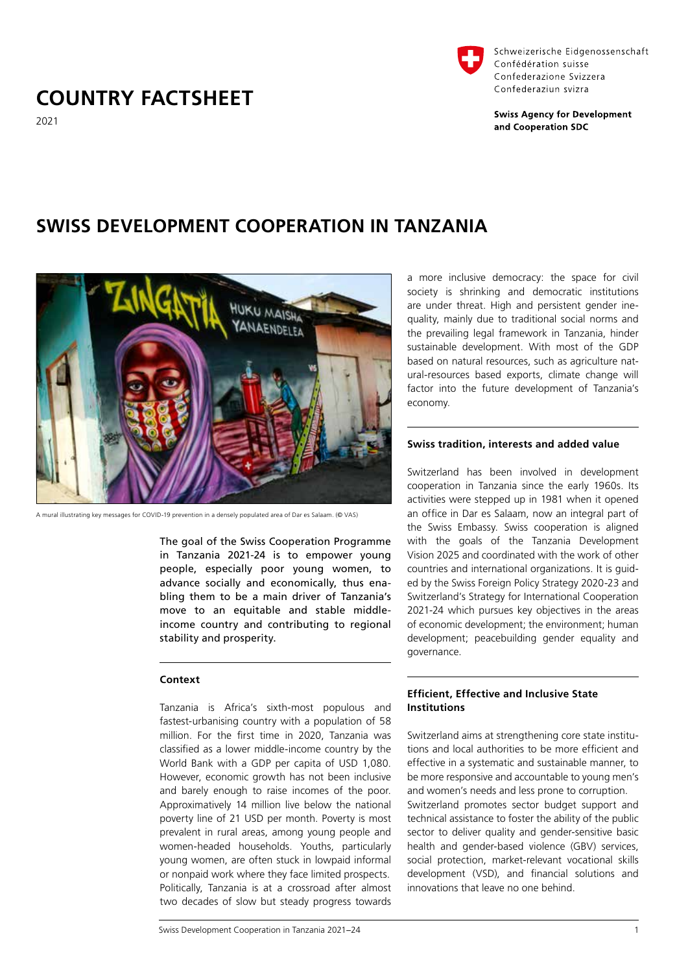# **COUNTRY FACTSHEET**



Schweizerische Eidgenossenschaft Confédération suisse Confederazione Svizzera Confederaziun svizra

**Swiss Agency for Development** and Cooperation SDC

2021

## **SWISS DEVELOPMENT COOPERATION IN TANZANIA**



A mural illustrating key messages for COVID-19 prevention in a densely populated area of Dar es Salaam. (© VAS)

The goal of the Swiss Cooperation Programme in Tanzania 2021-24 is to empower young people, especially poor young women, to advance socially and economically, thus enabling them to be a main driver of Tanzania's move to an equitable and stable middleincome country and contributing to regional stability and prosperity.

## **Context**

Tanzania is Africa's sixth-most populous and fastest-urbanising country with a population of 58 million. For the first time in 2020, Tanzania was classified as a lower middle-income country by the World Bank with a GDP per capita of USD 1,080. However, economic growth has not been inclusive and barely enough to raise incomes of the poor. Approximatively 14 million live below the national poverty line of 21 USD per month. Poverty is most prevalent in rural areas, among young people and women-headed households. Youths, particularly young women, are often stuck in lowpaid informal or nonpaid work where they face limited prospects. Politically, Tanzania is at a crossroad after almost two decades of slow but steady progress towards

Swiss Development Cooperation in Tanzania 2021−24 1

a more inclusive democracy: the space for civil society is shrinking and democratic institutions are under threat. High and persistent gender inequality, mainly due to traditional social norms and the prevailing legal framework in Tanzania, hinder sustainable development. With most of the GDP based on natural resources, such as agriculture natural-resources based exports, climate change will factor into the future development of Tanzania's economy.

#### **Swiss tradition, interests and added value**

Switzerland has been involved in development cooperation in Tanzania since the early 1960s. Its activities were stepped up in 1981 when it opened an office in Dar es Salaam, now an integral part of the Swiss Embassy. Swiss cooperation is aligned with the goals of the Tanzania Development Vision 2025 and coordinated with the work of other countries and international organizations. It is guided by the Swiss Foreign Policy Strategy 2020-23 and Switzerland's Strategy for International Cooperation 2021-24 which pursues key objectives in the areas of economic development; the environment; human development; peacebuilding gender equality and governance.

## **Efficient, Effective and Inclusive State Institutions**

Switzerland aims at strengthening core state institutions and local authorities to be more efficient and effective in a systematic and sustainable manner, to be more responsive and accountable to young men's and women's needs and less prone to corruption.

Switzerland promotes sector budget support and technical assistance to foster the ability of the public sector to deliver quality and gender-sensitive basic health and gender-based violence (GBV) services, social protection, market-relevant vocational skills development (VSD), and financial solutions and innovations that leave no one behind.